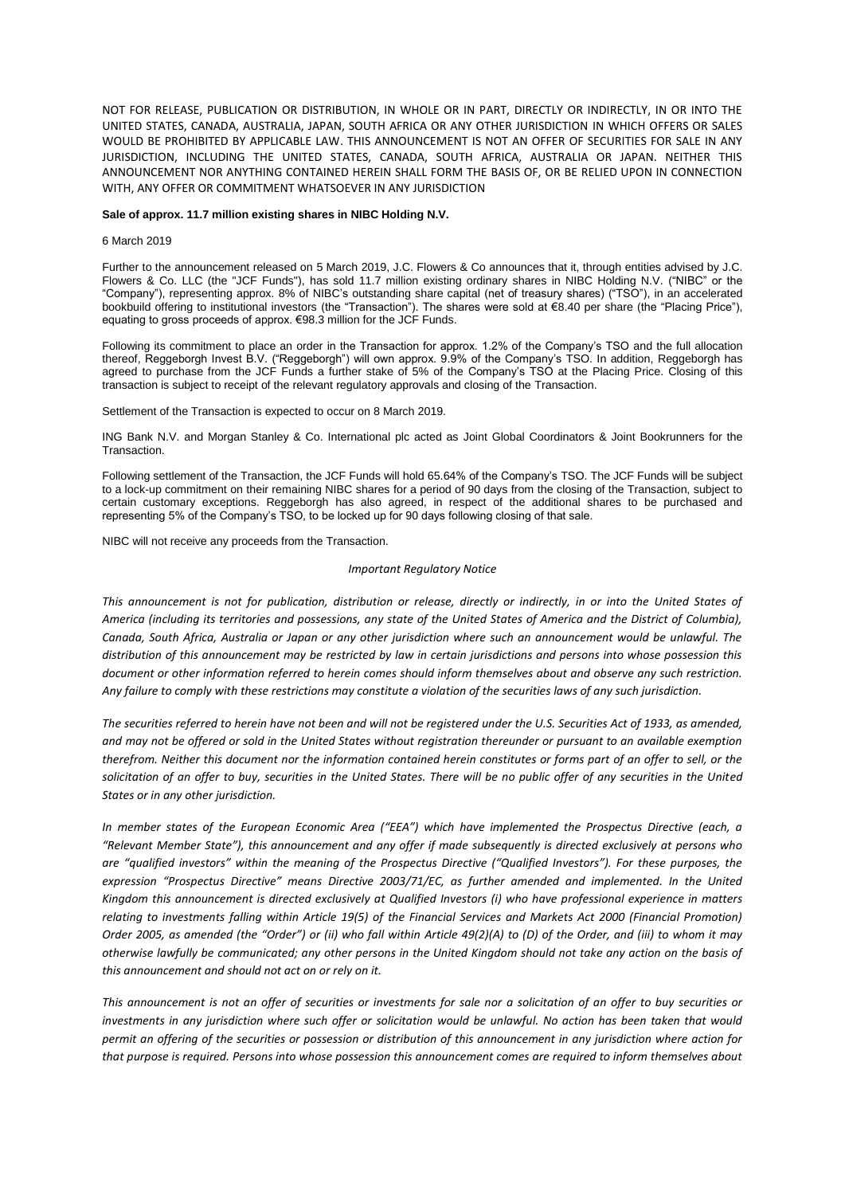NOT FOR RELEASE, PUBLICATION OR DISTRIBUTION, IN WHOLE OR IN PART, DIRECTLY OR INDIRECTLY, IN OR INTO THE UNITED STATES, CANADA, AUSTRALIA, JAPAN, SOUTH AFRICA OR ANY OTHER JURISDICTION IN WHICH OFFERS OR SALES WOULD BE PROHIBITED BY APPLICABLE LAW. THIS ANNOUNCEMENT IS NOT AN OFFER OF SECURITIES FOR SALE IN ANY JURISDICTION, INCLUDING THE UNITED STATES, CANADA, SOUTH AFRICA, AUSTRALIA OR JAPAN. NEITHER THIS ANNOUNCEMENT NOR ANYTHING CONTAINED HEREIN SHALL FORM THE BASIS OF, OR BE RELIED UPON IN CONNECTION WITH, ANY OFFER OR COMMITMENT WHATSOEVER IN ANY JURISDICTION

## **Sale of approx. 11.7 million existing shares in NIBC Holding N.V.**

## 6 March 2019

Further to the announcement released on 5 March 2019, J.C. Flowers & Co announces that it, through entities advised by J.C. Flowers & Co. LLC (the "JCF Funds"), has sold 11.7 million existing ordinary shares in NIBC Holding N.V. ("NIBC" or the "Company"), representing approx. 8% of NIBC's outstanding share capital (net of treasury shares) ("TSO"), in an accelerated bookbuild offering to institutional investors (the "Transaction"). The shares were sold at €8.40 per share (the "Placing Price"), equating to gross proceeds of approx. €98.3 million for the JCF Funds.

Following its commitment to place an order in the Transaction for approx. 1.2% of the Company's TSO and the full allocation thereof, Reggeborgh Invest B.V. ("Reggeborgh") will own approx. 9.9% of the Company's TSO. In addition, Reggeborgh has agreed to purchase from the JCF Funds a further stake of 5% of the Company's TSO at the Placing Price. Closing of this transaction is subject to receipt of the relevant regulatory approvals and closing of the Transaction.

Settlement of the Transaction is expected to occur on 8 March 2019.

ING Bank N.V. and Morgan Stanley & Co. International plc acted as Joint Global Coordinators & Joint Bookrunners for the Transaction.

Following settlement of the Transaction, the JCF Funds will hold 65.64% of the Company's TSO. The JCF Funds will be subject to a lock-up commitment on their remaining NIBC shares for a period of 90 days from the closing of the Transaction, subject to certain customary exceptions. Reggeborgh has also agreed, in respect of the additional shares to be purchased and representing 5% of the Company's TSO, to be locked up for 90 days following closing of that sale.

NIBC will not receive any proceeds from the Transaction.

## *Important Regulatory Notice*

*This announcement is not for publication, distribution or release, directly or indirectly, in or into the United States of America (including its territories and possessions, any state of the United States of America and the District of Columbia), Canada, South Africa, Australia or Japan or any other jurisdiction where such an announcement would be unlawful. The distribution of this announcement may be restricted by law in certain jurisdictions and persons into whose possession this document or other information referred to herein comes should inform themselves about and observe any such restriction. Any failure to comply with these restrictions may constitute a violation of the securities laws of any such jurisdiction.*

*The securities referred to herein have not been and will not be registered under the U.S. Securities Act of 1933, as amended, and may not be offered or sold in the United States without registration thereunder or pursuant to an available exemption therefrom. Neither this document nor the information contained herein constitutes or forms part of an offer to sell, or the solicitation of an offer to buy, securities in the United States. There will be no public offer of any securities in the United States or in any other jurisdiction.* 

*In member states of the European Economic Area ("EEA") which have implemented the Prospectus Directive (each, a "Relevant Member State"), this announcement and any offer if made subsequently is directed exclusively at persons who are "qualified investors" within the meaning of the Prospectus Directive ("Qualified Investors"). For these purposes, the expression "Prospectus Directive" means Directive 2003/71/EC, as further amended and implemented. In the United Kingdom this announcement is directed exclusively at Qualified Investors (i) who have professional experience in matters relating to investments falling within Article 19(5) of the Financial Services and Markets Act 2000 (Financial Promotion) Order 2005, as amended (the "Order") or (ii) who fall within Article 49(2)(A) to (D) of the Order, and (iii) to whom it may otherwise lawfully be communicated; any other persons in the United Kingdom should not take any action on the basis of this announcement and should not act on or rely on it.* 

*This announcement is not an offer of securities or investments for sale nor a solicitation of an offer to buy securities or investments in any jurisdiction where such offer or solicitation would be unlawful. No action has been taken that would permit an offering of the securities or possession or distribution of this announcement in any jurisdiction where action for that purpose is required. Persons into whose possession this announcement comes are required to inform themselves about*